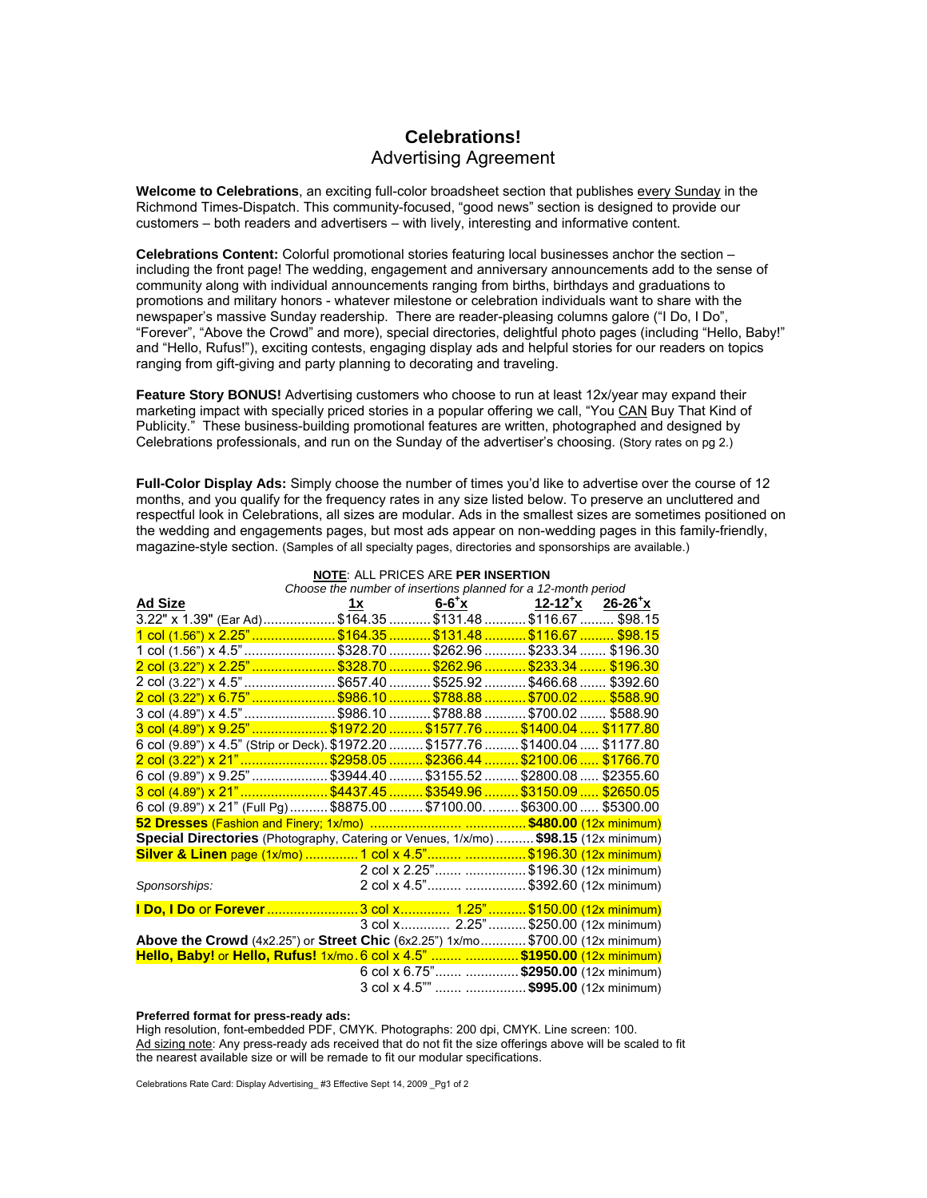# **Celebrations!**  Advertising Agreement

**Welcome to Celebrations**, an exciting full-color broadsheet section that publishes every Sunday in the Richmond Times-Dispatch. This community-focused, "good news" section is designed to provide our customers – both readers and advertisers – with lively, interesting and informative content.

**Celebrations Content:** Colorful promotional stories featuring local businesses anchor the section – including the front page! The wedding, engagement and anniversary announcements add to the sense of community along with individual announcements ranging from births, birthdays and graduations to promotions and military honors - whatever milestone or celebration individuals want to share with the newspaper's massive Sunday readership. There are reader-pleasing columns galore ("I Do, I Do", "Forever", "Above the Crowd" and more), special directories, delightful photo pages (including "Hello, Baby!" and "Hello, Rufus!"), exciting contests, engaging display ads and helpful stories for our readers on topics ranging from gift-giving and party planning to decorating and traveling.

Feature Story BONUS! Advertising customers who choose to run at least 12x/year may expand their marketing impact with specially priced stories in a popular offering we call, "You CAN Buy That Kind of Publicity." These business-building promotional features are written, photographed and designed by Celebrations professionals, and run on the Sunday of the advertiser's choosing. (Story rates on pg 2.)

**Full-Color Display Ads:** Simply choose the number of times you'd like to advertise over the course of 12 months, and you qualify for the frequency rates in any size listed below. To preserve an uncluttered and respectful look in Celebrations, all sizes are modular. Ads in the smallest sizes are sometimes positioned on the wedding and engagements pages, but most ads appear on non-wedding pages in this family-friendly, magazine-style section. (Samples of all specialty pages, directories and sponsorships are available.)

| Choose the number of insertions planned for a 12-month period                         |                |                                                                                                                                                         |  |  |
|---------------------------------------------------------------------------------------|----------------|---------------------------------------------------------------------------------------------------------------------------------------------------------|--|--|
| <b>Ad Size</b>                                                                        | $\frac{1x}{x}$ | $\underline{\textbf{6-6}^{\texttt +}}\textbf{x}$ $\underline{\textbf{12-12}^{\texttt +}}\textbf{x}}$ $\underline{\textbf{26-26}^{\texttt +}}\textbf{x}$ |  |  |
| 3.22" x 1.39" (Ear Ad)\$164.35 \$131.48 \$116.67 \$98.15                              |                |                                                                                                                                                         |  |  |
| <u>1 col (1.56") x 2.25" ………………… \$164.35 ………… \$131.48 ………… \$116.67 ……… \$98.15</u> |                |                                                                                                                                                         |  |  |
| 1 col (1.56") x 4.5" \$328.70  \$262.96  \$233.34  \$196.30                           |                |                                                                                                                                                         |  |  |
| 2 col (3.22") x 2.25" \$328.70  \$262.96  \$233.34  \$196.30                          |                |                                                                                                                                                         |  |  |
| 2 col (3.22") x 4.5" \$657.40 \$525.92 \$466.68  \$392.60                             |                |                                                                                                                                                         |  |  |
| 2 col (3.22") x 6.75" \$986.10 \$788.88 \$700.02  \$588.90                            |                |                                                                                                                                                         |  |  |
| 3 col (4.89") x 4.5" \$986.10  \$788.88  \$700.02  \$588.90                           |                |                                                                                                                                                         |  |  |
| 3 col (4.89") x 9.25" \$1972.20 \$1577.76 \$1400.04  \$1177.80                        |                |                                                                                                                                                         |  |  |
| 6 col (9.89") x 4.5" (Strip or Deck). \$1972.20  \$1577.76  \$1400.04  \$1177.80      |                |                                                                                                                                                         |  |  |
| 2 col (3.22") x 21" \$2958.05  \$2366.44  \$2100.06  \$1766.70                        |                |                                                                                                                                                         |  |  |
| 6 col (9.89") x 9.25" \$3944.40  \$3155.52  \$2800.08  \$2355.60                      |                |                                                                                                                                                         |  |  |
| 3 col (4.89") x 21" \$4437.45  \$3549.96  \$3150.09  \$2650.05                        |                |                                                                                                                                                         |  |  |
| 6 col (9.89") x 21" (Full Pg) \$8875.00  \$7100.00.  \$6300.00  \$5300.00             |                |                                                                                                                                                         |  |  |
|                                                                                       |                |                                                                                                                                                         |  |  |
| Special Directories (Photography, Catering or Venues, 1/x/mo)  \$98.15 (12x minimum)  |                |                                                                                                                                                         |  |  |
| Silver & Linen page (1x/mo)  1 col x 4.5" \$196.30 (12x minimum)                      |                |                                                                                                                                                         |  |  |
|                                                                                       |                | 2 col x 2.25" \$196.30 (12x minimum)                                                                                                                    |  |  |
| Sponsorships:                                                                         |                | 2 col x 4.5"  \$392.60 (12x minimum)                                                                                                                    |  |  |
| I Do, I Do or Forever 3 col x 1.25"  \$150.00 (12x minimum)                           |                |                                                                                                                                                         |  |  |
|                                                                                       |                | 3 col x 2.25"  \$250.00 (12x minimum)                                                                                                                   |  |  |
| Above the Crowd (4x2.25") or Street Chic (6x2.25") 1x/mo \$700.00 (12x minimum)       |                |                                                                                                                                                         |  |  |
| Hello, Baby! or Hello, Rufus! 1x/mo. 6 col x 4.5"  \$1950.00 (12x minimum)            |                |                                                                                                                                                         |  |  |
|                                                                                       |                | 6 col x 6.75"  \$2950.00 (12x minimum)                                                                                                                  |  |  |
|                                                                                       |                | 3 col x 4.5""   \$995.00 (12x minimum)                                                                                                                  |  |  |

**NOTE**: ALL PRICES ARE **PER INSERTION**

#### **Preferred format for press-ready ads:**

High resolution, font-embedded PDF, CMYK. Photographs: 200 dpi, CMYK. Line screen: 100. Ad sizing note: Any press-ready ads received that do not fit the size offerings above will be scaled to fit the nearest available size or will be remade to fit our modular specifications.

Celebrations Rate Card: Display Advertising #3 Effective Sept 14, 2009 Pg1 of 2